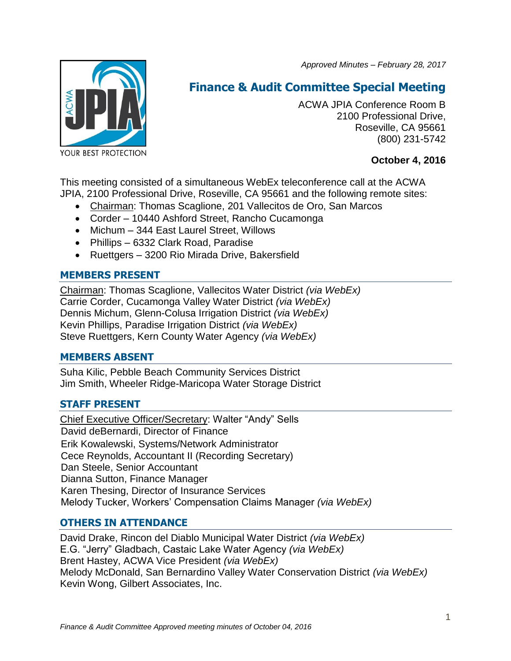*Approved Minutes – February 28, 2017*



# **Finance & Audit Committee Special Meeting**

ACWA JPIA Conference Room B 2100 Professional Drive, Roseville, CA 95661 (800) 231-5742

# **October 4, 2016**

This meeting consisted of a simultaneous WebEx teleconference call at the ACWA JPIA, 2100 Professional Drive, Roseville, CA 95661 and the following remote sites:

- Chairman: Thomas Scaglione, 201 Vallecitos de Oro, San Marcos
- Corder 10440 Ashford Street, Rancho Cucamonga
- Michum 344 East Laurel Street, Willows
- Phillips 6332 Clark Road, Paradise
- Ruettgers 3200 Rio Mirada Drive, Bakersfield

# **MEMBERS PRESENT**

Chairman: Thomas Scaglione, Vallecitos Water District *(via WebEx)* Carrie Corder, Cucamonga Valley Water District *(via WebEx)* Dennis Michum, Glenn-Colusa Irrigation District *(via WebEx)* Kevin Phillips, Paradise Irrigation District *(via WebEx)* Steve Ruettgers, Kern County Water Agency *(via WebEx)*

## **MEMBERS ABSENT**

Suha Kilic, Pebble Beach Community Services District Jim Smith, Wheeler Ridge-Maricopa Water Storage District

## **STAFF PRESENT**

Chief Executive Officer/Secretary: Walter "Andy" Sells David deBernardi, Director of Finance Erik Kowalewski, Systems/Network Administrator Cece Reynolds, Accountant II (Recording Secretary) Dan Steele, Senior Accountant Dianna Sutton, Finance Manager Karen Thesing, Director of Insurance Services Melody Tucker, Workers' Compensation Claims Manager *(via WebEx)*

## **OTHERS IN ATTENDANCE**

David Drake, Rincon del Diablo Municipal Water District *(via WebEx)* E.G. "Jerry" Gladbach, Castaic Lake Water Agency *(via WebEx)* Brent Hastey, ACWA Vice President *(via WebEx)* Melody McDonald, San Bernardino Valley Water Conservation District *(via WebEx)* Kevin Wong, Gilbert Associates, Inc.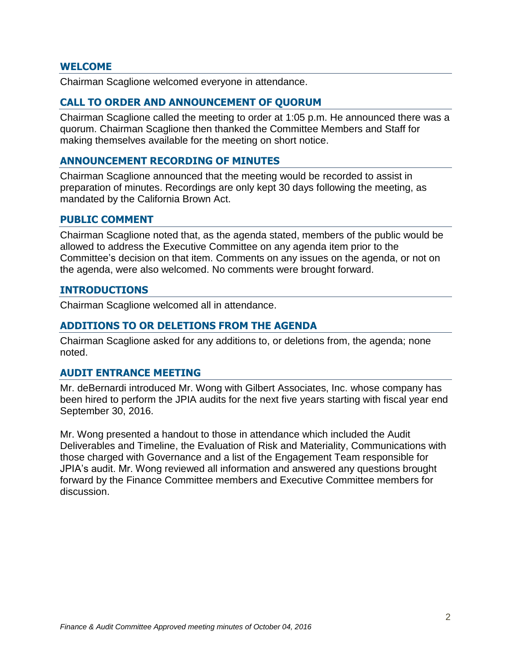## **WELCOME**

Chairman Scaglione welcomed everyone in attendance.

## **CALL TO ORDER AND ANNOUNCEMENT OF QUORUM**

Chairman Scaglione called the meeting to order at 1:05 p.m. He announced there was a quorum. Chairman Scaglione then thanked the Committee Members and Staff for making themselves available for the meeting on short notice.

## **ANNOUNCEMENT RECORDING OF MINUTES**

Chairman Scaglione announced that the meeting would be recorded to assist in preparation of minutes. Recordings are only kept 30 days following the meeting, as mandated by the California Brown Act.

#### **PUBLIC COMMENT**

Chairman Scaglione noted that, as the agenda stated, members of the public would be allowed to address the Executive Committee on any agenda item prior to the Committee's decision on that item. Comments on any issues on the agenda, or not on the agenda, were also welcomed. No comments were brought forward.

### **INTRODUCTIONS**

Chairman Scaglione welcomed all in attendance.

### **ADDITIONS TO OR DELETIONS FROM THE AGENDA**

Chairman Scaglione asked for any additions to, or deletions from, the agenda; none noted.

### **AUDIT ENTRANCE MEETING**

Mr. deBernardi introduced Mr. Wong with Gilbert Associates, Inc. whose company has been hired to perform the JPIA audits for the next five years starting with fiscal year end September 30, 2016.

Mr. Wong presented a handout to those in attendance which included the Audit Deliverables and Timeline, the Evaluation of Risk and Materiality, Communications with those charged with Governance and a list of the Engagement Team responsible for JPIA's audit. Mr. Wong reviewed all information and answered any questions brought forward by the Finance Committee members and Executive Committee members for discussion.